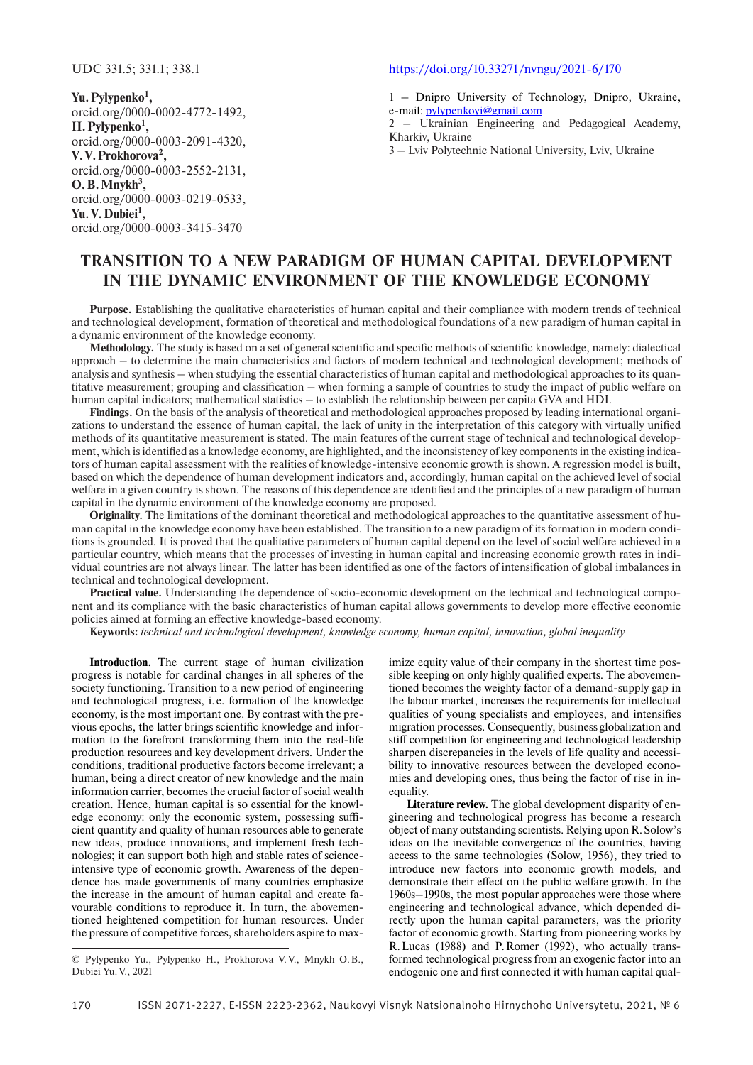**Yu. Pylypenko1 ,** orcid.org/0000-0002-4772-1492, **H. Pylypenko1 ,** orcid.org/0000-0003-2091-4320, **V. V. Prokhorova2 ,** orcid.org/0000-0003-2552-2131,  $O.B.Mnykh<sup>3</sup>$ , orcid.org/0000-0003-0219-0533, **Yu. V. Dubiei1 ,** orcid.org/0000-0003-3415-3470

### https://doi.org/10.33271/nvngu/2021-6/170

1 – Dnipro University of Technology, Dnipro, Ukraine, e-mail: pylypenkoyi@gmail.com

2 – Ukrainian Engineering and Pedagogical Academy, Kharkiv, Ukraine

3 – Lviv Polytechnic National University, Lviv, Ukraine

# **TRANSITION TO A NEW PARADIGM OF HUMAN CAPITAL DEVELOPMENT IN THE DYNAMIC ENVIRONMENT OF THE KNOWLEDGE ECONOMY**

**Purpose.** Establishing the qualitative characteristics of human capital and their compliance with modern trends of technical and technological development, formation of theoretical and methodological foundations of a new paradigm of human capital in a dynamic environment of the knowledge economy.

**Methodology.** The study is based on a set of general scientific and specific methods of scientific knowledge, namely: dialectical approach – to determine the main characteristics and factors of modern technical and technological development; methods of analysis and synthesis – when studying the essential characteristics of human capital and methodological approaches to its quantitative measurement; grouping and classification – when forming a sample of countries to study the impact of public welfare on human capital indicators; mathematical statistics – to establish the relationship between per capita GVA and HDI.

**Findings.** On the basis of the analysis of theoretical and methodological approaches proposed by leading international organizations to understand the essence of human capital, the lack of unity in the interpretation of this category with virtually unified methods of its quantitative measurement is stated. The main features of the current stage of technical and technological development, which is identified as a knowledge economy, are highlighted, and the inconsistency of key components in the existing indicators of human capital assessment with the realities of knowledge-intensive economic growth is shown. A regression model is built, based on which the dependence of human development indicators and, accordingly, human capital on the achieved level of social welfare in a given country is shown. The reasons of this dependence are identified and the principles of a new paradigm of human capital in the dynamic environment of the knowledge economy are proposed.

**Originality.** The limitations of the dominant theoretical and methodological approaches to the quantitative assessment of human capital in the knowledge economy have been established. The transition to a new paradigm of its formation in modern conditions is grounded. It is proved that the qualitative parameters of human capital depend on the level of social welfare achieved in a particular country, which means that the processes of investing in human capital and increasing economic growth rates in individual countries are not always linear. The latter has been identified as one of the factors of intensification of global imbalances in technical and technological development.

**Practical value.** Understanding the dependence of socio-economic development on the technical and technological component and its compliance with the basic characteristics of human capital allows governments to develop more effective economic policies aimed at forming an effective knowledge-based economy.

**Keywords:** *technical and technological development, knowledge economy, human capital, innovation, global inequality*

**Introduction.** The current stage of human civilization progress is notable for cardinal changes in all spheres of the society functioning. Transition to a new period of engineering and technological progress, i. e. formation of the knowledge economy, is the most important one. By contrast with the previous epochs, the latter brings scientific knowledge and information to the forefront transforming them into the real-life production resources and key development drivers. Under the conditions, traditional productive factors become irrelevant; a human, being a direct creator of new knowledge and the main information carrier, becomes the crucial factor of social wealth creation. Hence, human capital is so essential for the knowledge economy: only the economic system, possessing sufficient quantity and quality of human resources able to generate new ideas, produce innovations, and implement fresh technologies; it can support both high and stable rates of scienceintensive type of economic growth. Awareness of the dependence has made governments of many countries emphasize the increase in the amount of human capital and create favourable conditions to reproduce it. In turn, the abovementioned heightened competition for human resources. Under the pressure of competitive forces, shareholders aspire to max-

imize equity value of their company in the shortest time possible keeping on only highly qualified experts. The abovementioned becomes the weighty factor of a demand-supply gap in the labour market, increases the requirements for intellectual qualities of young specialists and employees, and intensifies migration processes. Consequently, business globalization and stiff competition for engineering and technological leadership sharpen discrepancies in the levels of life quality and accessibility to innovative resources between the developed economies and developing ones, thus being the factor of rise in inequality.

**Literature review.** The global development disparity of engineering and technological progress has become a research object of many outstanding scientists. Relying upon R. Solow's ideas on the inevitable convergence of the countries, having access to the same technologies (Solow, 1956), they tried to introduce new factors into economic growth models, and demonstrate their effect on the public welfare growth. In the 1960s–1990s, the most popular approaches were those where engineering and technological advance, which depended directly upon the human capital parameters, was the priority factor of economic growth. Starting from pioneering works by R. Lucas (1988) and P. Romer (1992), who actually transformed technological progress from an exogenic factor into an endogenic one and first connected it with human capital qual-

<sup>©</sup> Pylypenko Yu., Pylypenko H., Prokhorova V. V., Mnykh O. B., Dubiei Yu. V., 2021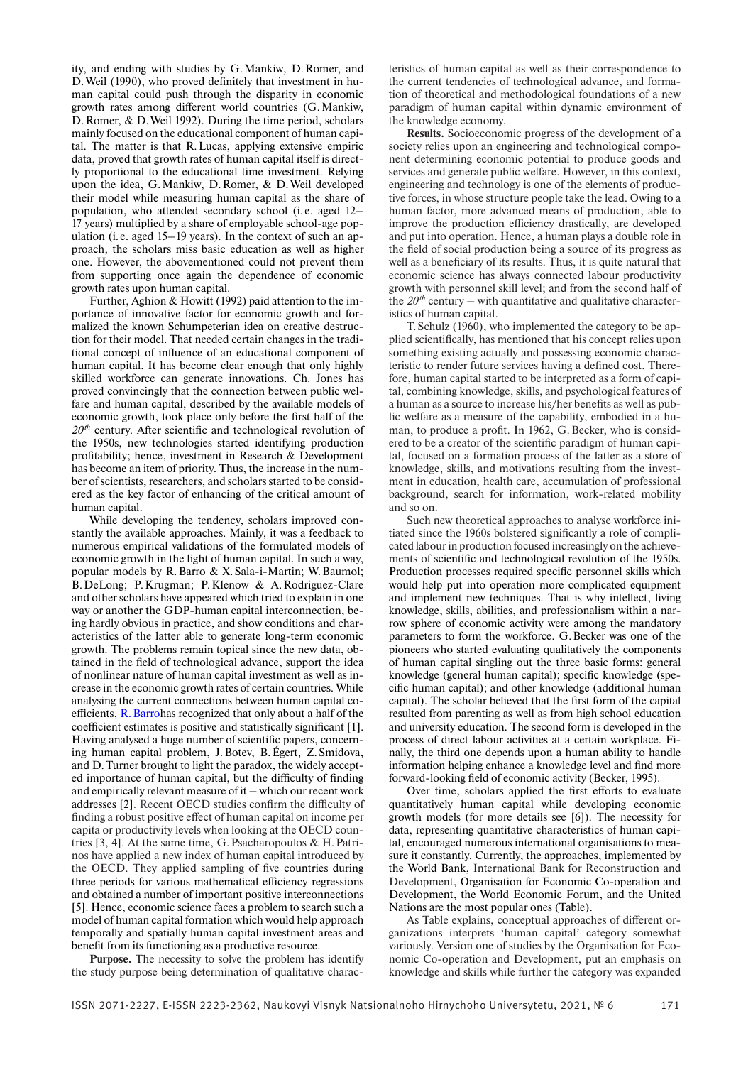ity, and ending with studies by G. Mankiw, D. Romer, and D. Weil (1990), who proved definitely that investment in human capital could push through the disparity in economic growth rates among different world countries (G. Mankiw, D. Romer, & D. Weil 1992). During the time period, scholars mainly focused on the educational component of human capital. The matter is that R. Lucas, applying extensive empiric data, proved that growth rates of human capital itself is directly proportional to the educational time investment. Relying upon the idea, G. Mankiw, D. Romer, & D. Weil developed their model while measuring human capital as the share of population, who attended secondary school (i. e. aged 12– 17 years) multiplied by a share of employable school-age population (i. e. aged 15–19 years). In the context of such an approach, the scholars miss basic education as well as higher one. However, the abovementioned could not prevent them from supporting once again the dependence of economic growth rates upon human capital.

Further, Aghion & Howitt (1992) paid attention to the importance of innovative factor for economic growth and formalized the known Schumpeterian idea on creative destruction for their model. That needed certain changes in the traditional concept of influence of an educational component of human capital. It has become clear enough that only highly skilled workforce can generate innovations. Ch. Jones has proved convincingly that the connection between public welfare and human capital, described by the available models of economic growth, took place only before the first half of the  $20<sup>th</sup>$  century. After scientific and technological revolution of the 1950s, new technologies started identifying production profitability; hence, investment in Research & Development has become an item of priority. Thus, the increase in the number of scientists, researchers, and scholars started to be considered as the key factor of enhancing of the critical amount of human capital.

While developing the tendency, scholars improved constantly the available approaches. Mainly, it was a feedback to numerous empirical validations of the formulated models of economic growth in the light of human capital. In such a way, popular models by R. Barro & X. Sala-i-Martin; W. Baumol; B. DeLong; P. Krugman; P. Klenow & A. Rodriguez-Clare and other scholars have appeared which tried to explain in one way or another the GDP-human capital interconnection, being hardly obvious in practice, and show conditions and characteristics of the latter able to generate long-term economic growth. The problems remain topical since the new data, obtained in the field of technological advance, support the idea of nonlinear nature of human capital investment as well as increase in the economic growth rates of certain countries. While analysing the current connections between human capital coefficients, R. Barrohas recognized that only about a half of the coefficient estimates is positive and statistically significant [1]. Having analysed a huge number of scientific papers, concerning human capital problem, J. Botev, B. Égert, Z. Smidova, and D. Turner brought to light the paradox, the widely accepted importance of human capital, but the difficulty of finding and empirically relevant measure of it – which our recent work addresses [2]. Recent OECD studies confirm the difficulty of finding a robust positive effect of human capital on income per capita or productivity levels when looking at the OECD countries [3, 4]. At the same time, G. Psacharopoulos & H. Patrinos have applied a new index of human capital introduced by the OECD. They applied sampling of five countries during three periods for various mathematical efficiency regressions and obtained a number of important positive interconnections [5]. Hence, economic science faces a problem to search such a model of human capital formation which would help approach temporally and spatially human capital investment areas and benefit from its functioning as a productive resource.

**Purpose.** The necessity to solve the problem has identify the study purpose being determination of qualitative charac-

teristics of human capital as well as their correspondence to the current tendencies of technological advance, and formation of theoretical and methodological foundations of a new paradigm of human capital within dynamic environment of the knowledge economy.

**Results.** Socioeconomic progress of the development of a society relies upon an engineering and technological component determining economic potential to produce goods and services and generate public welfare. However, in this context, engineering and technology is one of the elements of productive forces, in whose structure people take the lead. Owing to a human factor, more advanced means of production, able to improve the production efficiency drastically, are developed and put into operation. Hence, a human plays a double role in the field of social production being a source of its progress as well as a beneficiary of its results. Thus, it is quite natural that economic science has always connected labour productivity growth with personnel skill level; and from the second half of the  $20<sup>th</sup>$  century – with quantitative and qualitative characteristics of human capital.

Т. Schulz (1960), who implemented the category to be applied scientifically, has mentioned that his concept relies upon something existing actually and possessing economic characteristic to render future services having a defined cost. Therefore, human capital started to be interpreted as a form of capital, combining knowledge, skills, and psychological features of a human as a source to increase his/her benefits as well as public welfare as a measure of the capability, embodied in a human, to produce a profit. In 1962, G. Becker, who is considered to be a creator of the scientific paradigm of human capital, focused on a formation process of the latter as a store of knowledge, skills, and motivations resulting from the investment in education, health care, accumulation of professional background, search for information, work-related mobility and so on.

Such new theoretical approaches to analyse workforce initiated since the 1960s bolstered significantly a role of complicated labour in production focused increasingly on the achievements of scientific and technological revolution of the 1950s. Production processes required specific personnel skills which would help put into operation more complicated equipment and implement new techniques. That is why intellect, living knowledge, skills, abilities, and professionalism within a narrow sphere of economic activity were among the mandatory parameters to form the workforce. G. Becker was one of the pioneers who started evaluating qualitatively the components of human capital singling out the three basic forms: general knowledge (general human capital); specific knowledge (specific human capital); and other knowledge (additional human capital). The scholar believed that the first form of the capital resulted from parenting as well as from high school education and university education. The second form is developed in the process of direct labour activities at a certain workplace. Finally, the third one depends upon a human ability to handle information helping enhance a knowledge level and find more forward-looking field of economic activity (Becker, 1995).

Over time, scholars applied the first efforts to evaluate quantitatively human capital while developing economic growth models (for more details see [6]). The necessity for data, representing quantitative characteristics of human capital, encouraged numerous international organisations to measure it constantly. Currently, the approaches, implemented by the World Bank, International Bank for Reconstruction and Development, Organisation for Economic Co-operation and Development, the World Economic Forum, and the United Nations are the most popular ones (Table).

As Table explains, conceptual approaches of different organizations interprets 'human capital' category somewhat variously. Version one of studies by the Organisation for Economic Co-operation and Development, put an emphasis on knowledge and skills while further the category was expanded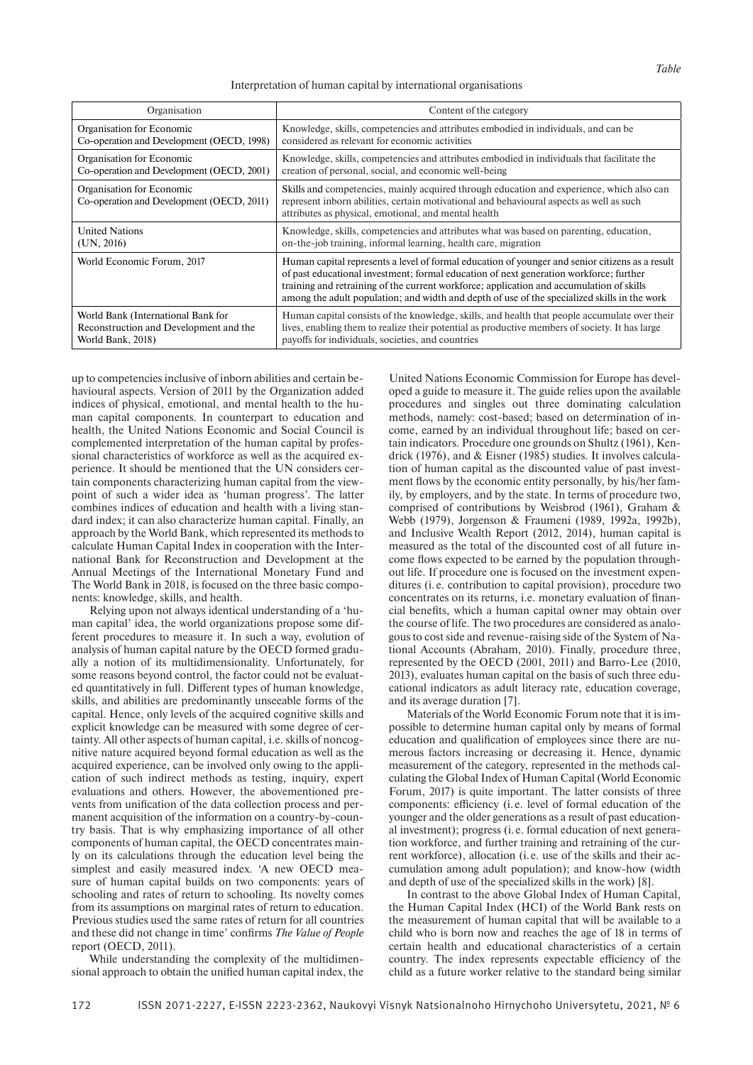#### Interpretation of human capital by international organisations

| Organisation                                                           | Content of the category                                                                                                                                                                                                                                                                                                                                                               |
|------------------------------------------------------------------------|---------------------------------------------------------------------------------------------------------------------------------------------------------------------------------------------------------------------------------------------------------------------------------------------------------------------------------------------------------------------------------------|
| Organisation for Economic                                              | Knowledge, skills, competencies and attributes embodied in individuals, and can be                                                                                                                                                                                                                                                                                                    |
| Co-operation and Development (OECD, 1998)                              | considered as relevant for economic activities                                                                                                                                                                                                                                                                                                                                        |
| Organisation for Economic                                              | Knowledge, skills, competencies and attributes embodied in individuals that facilitate the                                                                                                                                                                                                                                                                                            |
| Co-operation and Development (OECD, 2001)                              | creation of personal, social, and economic well-being                                                                                                                                                                                                                                                                                                                                 |
| Organisation for Economic<br>Co-operation and Development (OECD, 2011) | Skills and competencies, mainly acquired through education and experience, which also can<br>represent inborn abilities, certain motivational and behavioural aspects as well as such<br>attributes as physical, emotional, and mental health                                                                                                                                         |
| <b>United Nations</b>                                                  | Knowledge, skills, competencies and attributes what was based on parenting, education,                                                                                                                                                                                                                                                                                                |
| (UN, 2016)                                                             | on-the-job training, informal learning, health care, migration                                                                                                                                                                                                                                                                                                                        |
| World Economic Forum, 2017                                             | Human capital represents a level of formal education of younger and senior citizens as a result<br>of past educational investment; formal education of next generation workforce; further<br>training and retraining of the current workforce; application and accumulation of skills<br>among the adult population; and width and depth of use of the specialized skills in the work |
| World Bank (International Bank for                                     | Human capital consists of the knowledge, skills, and health that people accumulate over their                                                                                                                                                                                                                                                                                         |
| Reconstruction and Development and the                                 | lives, enabling them to realize their potential as productive members of society. It has large                                                                                                                                                                                                                                                                                        |
| World Bank, 2018)                                                      | payoffs for individuals, societies, and countries                                                                                                                                                                                                                                                                                                                                     |

up to competencies inclusive of inborn abilities and certain behavioural aspects. Version of 2011 by the Organization added indices of physical, emotional, and mental health to the human capital components. In counterpart to education and health, the United Nations Economic and Social Council is complemented interpretation of the human capital by professional characteristics of workforce as well as the acquired experience. It should be mentioned that the UN considers certain components characterizing human capital from the viewpoint of such a wider idea as 'human progress'. The latter combines indices of education and health with a living standard index; it can also characterize human capital. Finally, an approach by the World Bank, which represented its methods to calculate Human Capital Index in cooperation with the International Bank for Reconstruction and Development at the Annual Meetings of the International Monetary Fund and The World Bank in 2018, is focused on the three basic components: knowledge, skills, and health.

Relying upon not always identical understanding of a 'human capital' idea, the world organizations propose some different procedures to measure it. In such a way, evolution of analysis of human capital nature by the OECD formed gradually a notion of its multidimensionality. Unfortunately, for some reasons beyond control, the factor could not be evaluated quantitatively in full. Different types of human knowledge, skills, and abilities are predominantly unseeable forms of the capital. Hence, only levels of the acquired cognitive skills and explicit knowledge can be measured with some degree of certainty. All other aspects of human capital, i.e. skills of noncognitive nature acquired beyond formal education as well as the acquired experience, can be involved only owing to the application of such indirect methods as testing, inquiry, expert evaluations and others. However, the abovementioned prevents from unification of the data collection process and permanent acquisition of the information on a country-by-country basis. That is why emphasizing importance of all other components of human capital, the OECD concentrates mainly on its calculations through the education level being the simplest and easily measured index. 'A new OECD measure of human capital builds on two components: years of schooling and rates of return to schooling. Its novelty comes from its assumptions on marginal rates of return to education. Previous studies used the same rates of return for all countries and these did not change in time' confirms *The Value of People* report (OECD, 2011).

While understanding the complexity of the multidimensional approach to obtain the unified human capital index, the

United Nations Economic Commission for Europe has developed a guide to measure it. The guide relies upon the available procedures and singles out three dominating calculation methods, namely: cost-based; based on determination of income, earned by an individual throughout life; based on certain indicators. Procedure one grounds on Shultz (1961), Kendrick (1976), and & Eisner (1985) studies. It involves calculation of human capital as the discounted value of past investment flows by the economic entity personally, by his/her family, by employers, and by the state. In terms of procedure two, comprised of contributions by Weisbrod (1961), Graham & Webb (1979), Jorgenson & Fraumeni (1989, 1992a, 1992b), and Inclusive Wealth Report (2012, 2014), human capital is measured as the total of the discounted cost of all future income flows expected to be earned by the population throughout life. If procedure one is focused on the investment expenditures (i. e. contribution to capital provision), procedure two concentrates on its returns, *i.e.* monetary evaluation of financial benefits, which a human capital owner may obtain over the course of life. The two procedures are considered as analogous to cost side and revenue-raising side of the System of National Accounts (Abraham, 2010). Finally, procedure three, represented by the OECD (2001, 2011) and Barro-Lee (2010, 2013), evaluates human capital on the basis of such three educational indicators as adult literacy rate, education coverage, and its average duration [7].

Materials of the World Economic Forum note that it is impossible to determine human capital only by means of formal education and qualification of employees since there are numerous factors increasing or decreasing it. Hence, dynamic measurement of the category, represented in the methods calculating the Global Index of Human Capital (World Economic Forum, 2017) is quite important. The latter consists of three components: efficiency (i.e. level of formal education of the younger and the older generations as a result of past educational investment); progress (i. e. formal education of next generation workforce, and further training and retraining of the current workforce), allocation (i. e. use of the skills and their accumulation among adult population); and know-how (width and depth of use of the specialized skills in the work) [8].

In contrast to the above Global Index of Human Capital, the Human Capital Index (HCI) of the World Bank rests on the measurement of human capital that will be available to a child who is born now and reaches the age of 18 in terms of certain health and educational characteristics of a certain country. The index represents expectable efficiency of the child as a future worker relative to the standard being similar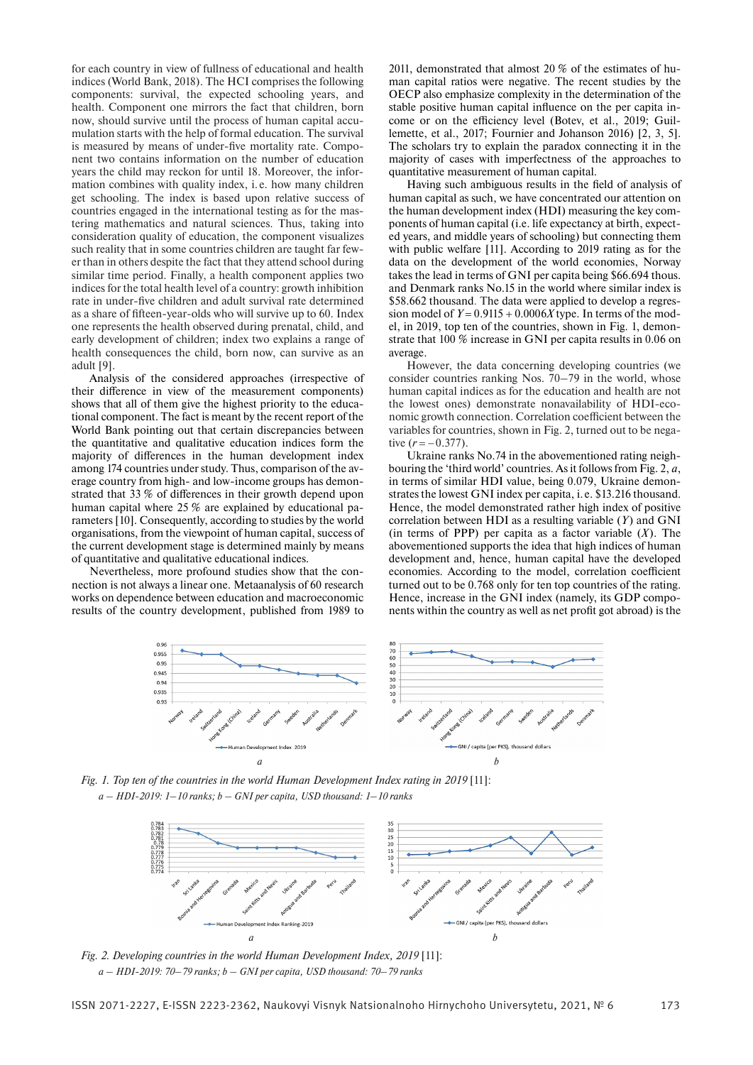for each country in view of fullness of educational and health indices (World Bank, 2018). The HCI comprises the following components: survival, the expected schooling years, and health. Component one mirrors the fact that children, born now, should survive until the process of human capital accumulation starts with the help of formal education. The survival is measured by means of under-five mortality rate. Component two contains information on the number of education years the child may reckon for until 18. Moreover, the information combines with quality index, i. e. how many children get schooling. The index is based upon relative success of countries engaged in the international testing as for the mastering mathematics and natural sciences. Thus, taking into consideration quality of education, the component visualizes such reality that in some countries children are taught far fewer than in others despite the fact that they attend school during similar time period. Finally, a health component applies two indices for the total health level of a country: growth inhibition rate in under-five children and adult survival rate determined as a share of fifteen-year-olds who will survive up to 60. Index one represents the health observed during prenatal, child, and early development of children; index two explains a range of health consequences the child, born now, can survive as an adult [9].

Analysis of the considered approaches (irrespective of their difference in view of the measurement components) shows that all of them give the highest priority to the educational component. The fact is meant by the recent report of the World Bank pointing out that certain discrepancies between the quantitative and qualitative education indices form the majority of differences in the human development index among 174 countries under study. Thus, comparison of the average country from high- and low-income groups has demonstrated that  $33\%$  of differences in their growth depend upon human capital where 25 % are explained by educational parameters [10]. Consequently, according to studies by the world organisations, from the viewpoint of human capital, success of the current development stage is determined mainly by means of quantitative and qualitative educational indices.

Nevertheless, more profound studies show that the connection is not always a linear one. Metaanalysis of 60 research works on dependence between education and macroeconomic results of the country development, published from 1989 to

2011, demonstrated that almost 20 % of the estimates of human capital ratios were negative. The recent studies by the ОЕСР also emphasize complexity in the determination of the stable positive human capital influence on the per capita income or on the efficiency level (Botev, et al., 2019; Guillemette, et al., 2017; Fournier and Johanson 2016) [2, 3, 5]. The scholars try to explain the paradox connecting it in the majority of cases with imperfectness of the approaches to quantitative measurement of human capital.

Having such ambiguous results in the field of analysis of human capital as such, we have concentrated our attention on the human development index (HDI) measuring the key components of human capital (i.e. life expectancy at birth, expected years, and middle years of schooling) but connecting them with public welfare [11]. According to 2019 rating as for the data on the development of the world economies, Norway takes the lead in terms of GNI per capita being \$66.694 thous. and Denmark ranks No.15 in the world where similar index is \$58.662 thousand. The data were applied to develop a regression model of  $Y = 0.9115 + 0.0006X$  type. In terms of the model, in 2019, top ten of the countries, shown in Fig. 1, demonstrate that 100 % increase in GNI per capita results in 0.06 on average.

However, the data concerning developing countries (we consider countries ranking Nos. 70–79 in the world, whose human capital indices as for the education and health are not the lowest ones) demonstrate nonavailability of HDI-economic growth connection. Correlation coefficient between the variables for countries, shown in Fig. 2, turned out to be negative  $(r = -0.377)$ .

Ukraine ranks No.74 in the abovementioned rating neighbouring the 'third world' countries . As it follows from Fig. 2, *a*, in terms of similar HDI value, being 0.079, Ukraine demonstrates the lowest GNI index per capita, i. e. \$13.216 thousand. Hence, the model demonstrated rather high index of positive correlation between HDI as a resulting variable (*Y* ) and GNI (in terms of PPP) per capita as a factor variable  $(X)$ . The abovementioned supports the idea that high indices of human development and, hence, human capital have the developed economies. According to the model, correlation coefficient turned out to be 0.768 only for ten top countries of the rating. Hence, increase in the GNI index (namely, its GDP components within the country as well as net profit got abroad) is the



Fig. 1. Top ten of the countries in the world Human Development Index rating in 2019 [11]: *a – HDI-2019: 1–10 ranks; b – GNI per capita, USD thousand: 1–10 ranks*



*Fig. 2. Developing countries in the world Human Development Index, 2019* [11]: *а – HDI-2019: 70–79 ranks; b – GNI per capita, USD thousand: 70–79 ranks*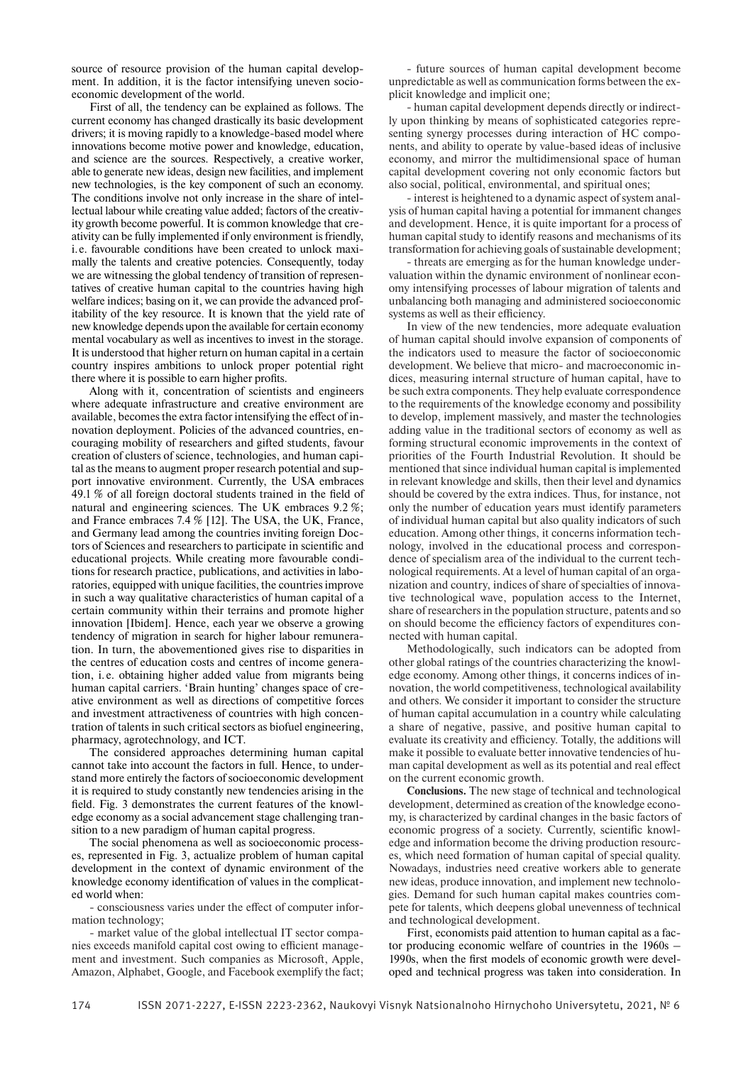source of resource provision of the human capital development. In addition, it is the factor intensifying uneven socioeconomic development of the world.

First of all, the tendency can be explained as follows. The current economy has changed drastically its basic development drivers; it is moving rapidly to a knowledge-based model where innovations become motive power and knowledge, education, and science are the sources. Respectively, a creative worker, able to generate new ideas, design new facilities, and implement new technologies, is the key component of such an economy. The conditions involve not only increase in the share of intellectual labour while creating value added; factors of the creativity growth become powerful. It is common knowledge that creativity can be fully implemented if only environment is friendly, i. e. favourable conditions have been created to unlock maximally the talents and creative potencies. Consequently, today we are witnessing the global tendency of transition of representatives of creative human capital to the countries having high welfare indices; basing on it, we can provide the advanced profitability of the key resource. It is known that the yield rate of new knowledge depends upon the available for certain economy mental vocabulary as well as incentives to invest in the storage. It is understood that higher return on human capital in a certain country inspires ambitions to unlock proper potential right there where it is possible to earn higher profits.

Along with it, concentration of scientists and engineers where adequate infrastructure and creative environment are available, becomes the extra factor intensifying the effect of innovation deployment. Policies of the advanced countries, encouraging mobility of researchers and gifted students, favour creation of clusters of science, technologies, and human capital as the means to augment proper research potential and support innovative environment. Currently, the USA embraces 49.1  $%$  of all foreign doctoral students trained in the field of natural and engineering sciences. The UK embraces 9.2 %; and France embraces 7.4 % [12]. The USA, the UK, France, and Germany lead among the countries inviting foreign Doctors of Sciences and researchers to participate in scientific and educational projects. While creating more favourable conditions for research practice, publications, and activities in laboratories, equipped with unique facilities, the countries improve in such a way qualitative characteristics of human capital of a certain community within their terrains and promote higher innovation [Ibidem]. Hence, each year we observe a growing tendency of migration in search for higher labour remuneration. In turn, the abovementioned gives rise to disparities in the centres of education costs and centres of income generation, i. e. obtaining higher added value from migrants being human capital carriers. 'Brain hunting' changes space of creative environment as well as directions of competitive forces and investment attractiveness of countries with high concentration of talents in such critical sectors as biofuel engineering, pharmacy, agrotechnology, and ICT.

The considered approaches determining human capital cannot take into account the factors in full. Hence, to understand more entirely the factors of socioeconomic development it is required to study constantly new tendencies arising in the field. Fig. 3 demonstrates the current features of the knowledge economy as a social advancement stage challenging transition to a new paradigm of human capital progress.

The social phenomena as well as socioeconomic processes, represented in Fig. 3, actualize problem of human capital development in the context of dynamic environment of the knowledge economy identification of values in the complicated world when:

- consciousness varies under the effect of computer information technology;

- market value of the global intellectual IT sector companies exceeds manifold capital cost owing to efficient management and investment. Such companies as Microsoft, Apple, Amazon, Alphabet, Google, and Facebook exemplify the fact;

- future sources of human capital development become unpredictable as well as communication forms between the explicit knowledge and implicit one;

- human capital development depends directly or indirectly upon thinking by means of sophisticated categories representing synergy processes during interaction of HC components, and ability to operate by value-based ideas of inclusive economy, and mirror the multidimensional space of human capital development covering not only economic factors but also social, political, environmental, and spiritual ones;

- interest is heightened to a dynamic aspect of system analysis of human capital having a potential for immanent changes and development. Hence, it is quite important for a process of human capital study to identify reasons and mechanisms of its transformation for achieving goals of sustainable development;

- threats are emerging as for the human knowledge undervaluation within the dynamic environment of nonlinear economy intensifying processes of labour migration of talents and unbalancing both managing and administered socioeconomic systems as well as their efficiency.

In view of the new tendencies, more adequate evaluation of human capital should involve expansion of components of the indicators used to measure the factor of socioeconomic development. We believe that micro- and macroeconomic indices, measuring internal structure of human capital, have to be such extra components. They help evaluate correspondence to the requirements of the knowledge economy and possibility to develop, implement massively, and master the technologies adding value in the traditional sectors of economy as well as forming structural economic improvements in the context of priorities of the Fourth Industrial Revolution. It should be mentioned that since individual human capital is implemented in relevant knowledge and skills, then their level and dynamics should be covered by the extra indices. Thus, for instance, not only the number of education years must identify parameters of individual human capital but also quality indicators of such education. Among other things, it concerns information technology, involved in the educational process and correspondence of specialism area of the individual to the current technological requirements. At a level of human capital of an organization and country, indices of share of specialties of innovative technological wave, population access to the Internet, share of researchers in the population structure, patents and so on should become the efficiency factors of expenditures connected with human capital.

Methodologically, such indicators can be adopted from other global ratings of the countries characterizing the knowledge economy. Among other things, it concerns indices of innovation, the world competitiveness, technological availability and others. We consider it important to consider the structure of human capital accumulation in a country while calculating a share of negative, passive, and positive human capital to evaluate its creativity and efficiency. Totally, the additions will make it possible to evaluate better innovative tendencies of human capital development as well as its potential and real effect on the current economic growth.

**Conclusions.** The new stage of technical and technological development, determined as creation of the knowledge economy, is characterized by cardinal changes in the basic factors of economic progress of a society. Currently, scientific knowledge and information become the driving production resources, which need formation of human capital of special quality. Nowadays, industries need creative workers able to generate new ideas, produce innovation, and implement new technologies. Demand for such human capital makes countries compete for talents, which deepens global unevenness of technical and technological development.

First, economists paid attention to human capital as a factor producing economic welfare of countries in the 1960s – 1990s, when the first models of economic growth were developed and technical progress was taken into consideration. In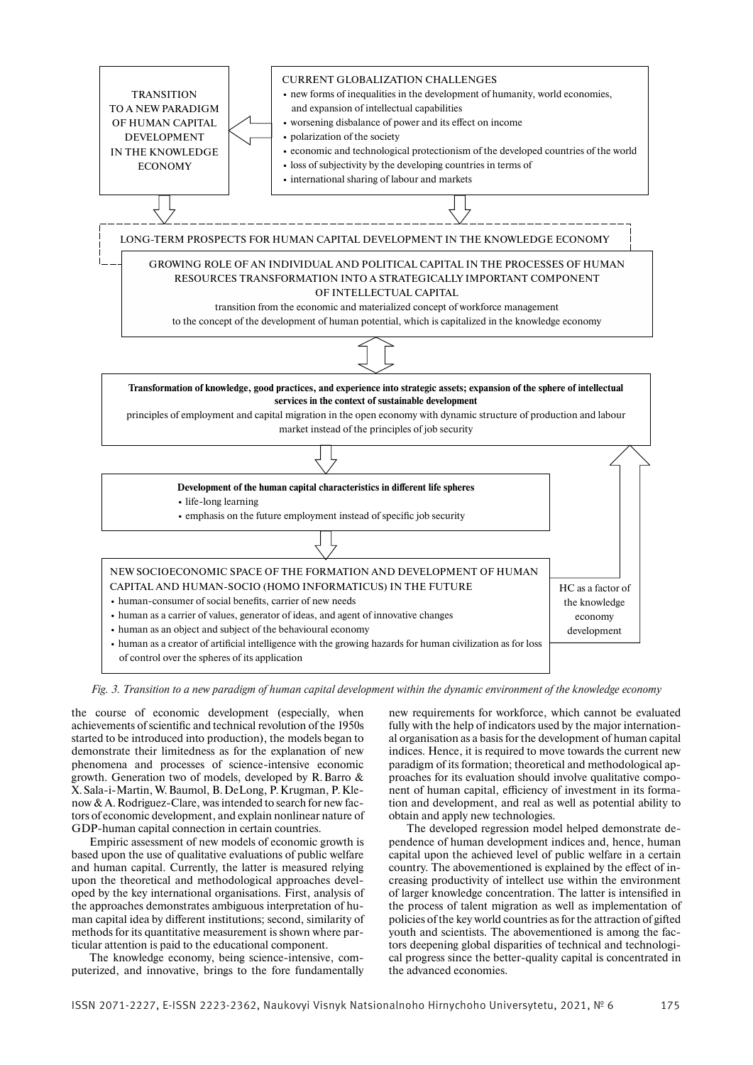

*Fig. 3. Transition to a new paradigm of human capital development within the dynamic environment of the knowledge economy*

the course of economic development (especially, when achievements of scientific and technical revolution of the 1950s started to be introduced into production), the models began to demonstrate their limitedness as for the explanation of new phenomena and processes of science-intensive economic growth. Generation two of models, developed by R. Barro & X. Sala-i-Martin, W. Baumol, B. DeLong, P. Krugman, P. Klenow & A. Rodriguez-Clare, was intended to search for new factors of economic development, and explain nonlinear nature of GDP-human capital connection in certain countries.

Empiric assessment of new models of economic growth is based upon the use of qualitative evaluations of public welfare and human capital. Currently, the latter is measured relying upon the theoretical and methodological approaches developed by the key international organisations. First, analysis of the approaches demonstrates ambiguous interpretation of human capital idea by different institutions; second, similarity of methods for its quantitative measurement is shown where particular attention is paid to the educational component.

The knowledge economy, being science-intensive, computerized, and innovative, brings to the fore fundamentally

new requirements for workforce, which cannot be evaluated fully with the help of indicators used by the major international organisation as a basis for the development of human capital indices. Hence, it is required to move towards the current new paradigm of its formation; theoretical and methodological approaches for its evaluation should involve qualitative component of human capital, efficiency of investment in its formation and development, and real as well as potential ability to obtain and apply new technologies.

The developed regression model helped demonstrate dependence of human development indices and, hence, human capital upon the achieved level of public welfare in a certain country. The abovementioned is explained by the effect of increasing productivity of intellect use within the environment of larger knowledge concentration. The latter is intensified in the process of talent migration as well as implementation of policies of the key world countries as for the attraction of gifted youth and scientists. The abovementioned is among the factors deepening global disparities of technical and technological progress since the better-quality capital is concentrated in the advanced economies.